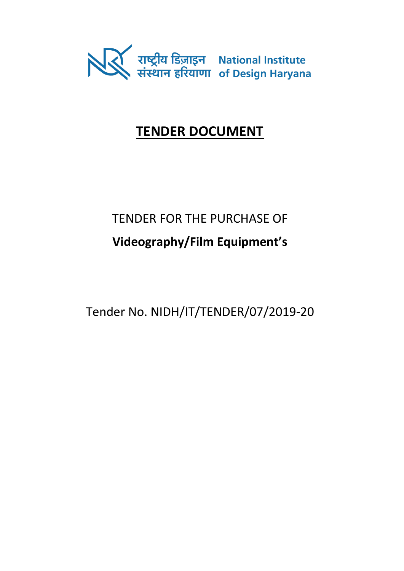

# **TENDER DOCUMENT**

# TENDER FOR THE PURCHASE OF **Videography/Film Equipment's**

Tender No. NIDH/IT/TENDER/07/2019-20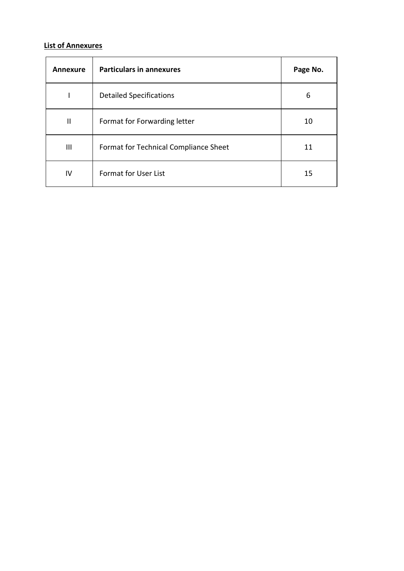### **List of Annexures**

| Annexure     | <b>Particulars in annexures</b>       | Page No. |
|--------------|---------------------------------------|----------|
|              | <b>Detailed Specifications</b>        | 6        |
| $\mathbf{I}$ | Format for Forwarding letter          | 10       |
| Ш            | Format for Technical Compliance Sheet | 11       |
| IV           | Format for User List                  | 15       |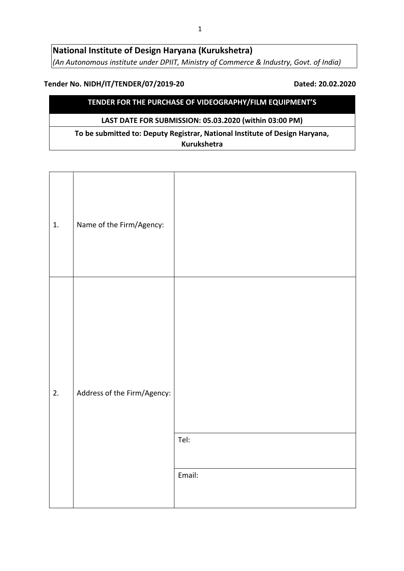### **National Institute of Design Haryana (Kurukshetra)**  *(An Autonomous institute under DPIIT, Ministry of Commerce & Industry, Govt. of India)*

#### **Tender No. NIDH/IT/TENDER/07/2019-20 Dated: 20.02.2020**

### **TENDER FOR THE PURCHASE OF VIDEOGRAPHY/FILM EQUIPMENT'S**

#### **LAST DATE FOR SUBMISSION: 05.03.2020 (within 03:00 PM)**

**To be submitted to: Deputy Registrar, National Institute of Design Haryana, Kurukshetra** 

| 1. | Name of the Firm/Agency:    |                |
|----|-----------------------------|----------------|
| 2. | Address of the Firm/Agency: | Tel:<br>Email: |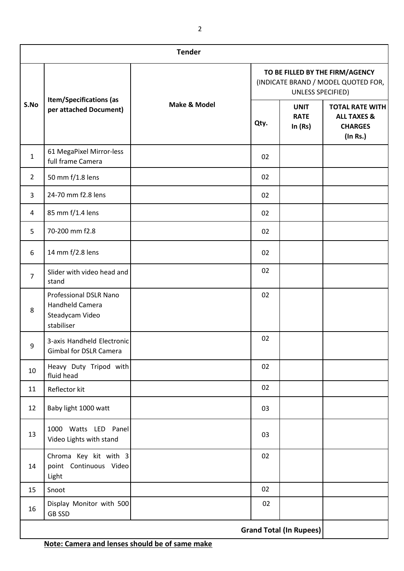| <b>Tender</b>  |                                                                            |              |                                                                                             |                                         |                                                                                |
|----------------|----------------------------------------------------------------------------|--------------|---------------------------------------------------------------------------------------------|-----------------------------------------|--------------------------------------------------------------------------------|
|                | <b>Item/Specifications (as</b><br>per attached Document)                   |              | TO BE FILLED BY THE FIRM/AGENCY<br>(INDICATE BRAND / MODEL QUOTED FOR,<br>UNLESS SPECIFIED) |                                         |                                                                                |
| S.No           |                                                                            | Make & Model | Qty.                                                                                        | <b>UNIT</b><br><b>RATE</b><br>In $(Rs)$ | <b>TOTAL RATE WITH</b><br><b>ALL TAXES &amp;</b><br><b>CHARGES</b><br>(In Rs.) |
| $\mathbf{1}$   | 61 MegaPixel Mirror-less<br>full frame Camera                              |              | 02                                                                                          |                                         |                                                                                |
| $\overline{2}$ | 50 mm f/1.8 lens                                                           |              | 02                                                                                          |                                         |                                                                                |
| 3              | 24-70 mm f2.8 lens                                                         |              | 02                                                                                          |                                         |                                                                                |
| 4              | 85 mm f/1.4 lens                                                           |              | 02                                                                                          |                                         |                                                                                |
| 5              | 70-200 mm f2.8                                                             |              | 02                                                                                          |                                         |                                                                                |
| 6              | 14 mm f/2.8 lens                                                           |              | 02                                                                                          |                                         |                                                                                |
| $\overline{7}$ | Slider with video head and<br>stand                                        |              | 02                                                                                          |                                         |                                                                                |
| 8              | Professional DSLR Nano<br>Handheld Camera<br>Steadycam Video<br>stabiliser |              | 02                                                                                          |                                         |                                                                                |
| 9              | 3-axis Handheld Electronic<br>Gimbal for DSLR Camera                       |              | 02                                                                                          |                                         |                                                                                |
| 10             | Heavy Duty Tripod with<br>fluid head                                       |              | 02                                                                                          |                                         |                                                                                |
| 11             | Reflector kit                                                              |              | 02                                                                                          |                                         |                                                                                |
| 12             | Baby light 1000 watt                                                       |              | 03                                                                                          |                                         |                                                                                |
| 13             | 1000 Watts LED Panel<br>Video Lights with stand                            |              | 03                                                                                          |                                         |                                                                                |
| 14             | Chroma Key kit with 3<br>point Continuous Video<br>Light                   |              | 02                                                                                          |                                         |                                                                                |
| 15             | Snoot                                                                      |              | 02                                                                                          |                                         |                                                                                |
| 16             | Display Monitor with 500<br><b>GB SSD</b>                                  |              | 02                                                                                          |                                         |                                                                                |
|                |                                                                            |              |                                                                                             | <b>Grand Total (In Rupees)</b>          |                                                                                |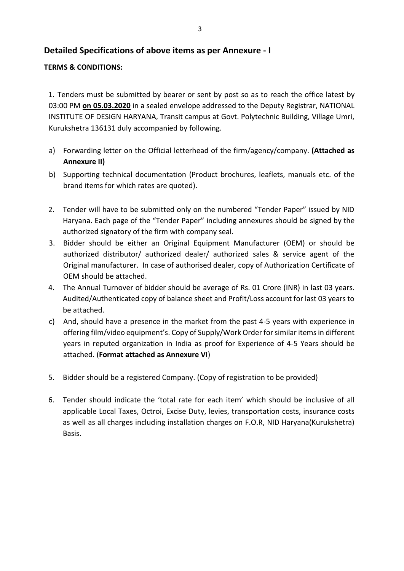### **Detailed Specifications of above items as per Annexure - I**

#### **TERMS & CONDITIONS:**

1. Tenders must be submitted by bearer or sent by post so as to reach the office latest by 03:00 PM **on 05.03.2020** in a sealed envelope addressed to the Deputy Registrar, NATIONAL INSTITUTE OF DESIGN HARYANA, Transit campus at Govt. Polytechnic Building, Village Umri, Kurukshetra 136131 duly accompanied by following.

- a) Forwarding letter on the Official letterhead of the firm/agency/company. **(Attached as Annexure II)**
- b) Supporting technical documentation (Product brochures, leaflets, manuals etc. of the brand items for which rates are quoted).
- 2. Tender will have to be submitted only on the numbered "Tender Paper" issued by NID Haryana. Each page of the "Tender Paper" including annexures should be signed by the authorized signatory of the firm with company seal.
- 3. Bidder should be either an Original Equipment Manufacturer (OEM) or should be authorized distributor/ authorized dealer/ authorized sales & service agent of the Original manufacturer. In case of authorised dealer, copy of Authorization Certificate of OEM should be attached.
- 4. The Annual Turnover of bidder should be average of Rs. 01 Crore (INR) in last 03 years. Audited/Authenticated copy of balance sheet and Profit/Loss account for last 03 years to be attached.
- c) And, should have a presence in the market from the past 4-5 years with experience in offering film/video equipment's. Copy of Supply/Work Order for similar items in different years in reputed organization in India as proof for Experience of 4-5 Years should be attached. (**Format attached as Annexure VI**)
- 5. Bidder should be a registered Company. (Copy of registration to be provided)
- 6. Tender should indicate the 'total rate for each item' which should be inclusive of all applicable Local Taxes, Octroi, Excise Duty, levies, transportation costs, insurance costs as well as all charges including installation charges on F.O.R, NID Haryana(Kurukshetra) Basis.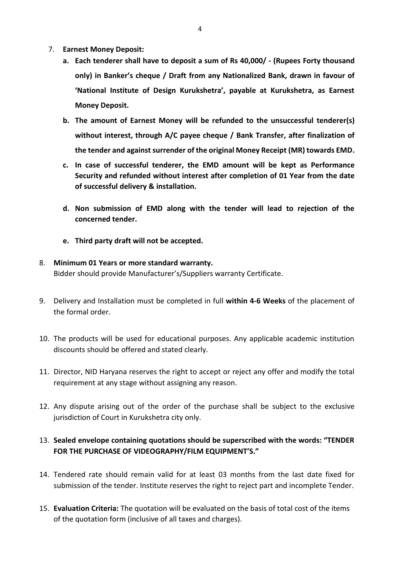- 7. **Earnest Money Deposit:**
	- **a. Each tenderer shall have to deposit a sum of Rs 40,000/ - (Rupees Forty thousand only) in Banker's cheque / Draft from any Nationalized Bank, drawn in favour of 'National Institute of Design Kurukshetra', payable at Kurukshetra, as Earnest Money Deposit.**
	- **b. The amount of Earnest Money will be refunded to the unsuccessful tenderer(s) without interest, through A/C payee cheque / Bank Transfer, after finalization of the tender and against surrender of the original Money Receipt (MR) towards EMD.**
	- **c. In case of successful tenderer, the EMD amount will be kept as Performance Security and refunded without interest after completion of 01 Year from the date of successful delivery & installation.**
	- **d. Non submission of EMD along with the tender will lead to rejection of the concerned tender.**
	- **e. Third party draft will not be accepted.**

#### 8. **Minimum 01 Years or more standard warranty.**

Bidder should provide Manufacturer's/Suppliers warranty Certificate.

- 9. Delivery and Installation must be completed in full **within 4-6 Weeks** of the placement of the formal order.
- 10. The products will be used for educational purposes. Any applicable academic institution discounts should be offered and stated clearly.
- 11. Director, NID Haryana reserves the right to accept or reject any offer and modify the total requirement at any stage without assigning any reason.
- 12. Any dispute arising out of the order of the purchase shall be subject to the exclusive jurisdiction of Court in Kurukshetra city only.

### 13. **Sealed envelope containing quotations should be superscribed with the words: "TENDER FOR THE PURCHASE OF VIDEOGRAPHY/FILM EQUIPMENT'S."**

- 14. Tendered rate should remain valid for at least 03 months from the last date fixed for submission of the tender. Institute reserves the right to reject part and incomplete Tender.
- 15. **Evaluation Criteria:** The quotation will be evaluated on the basis of total cost of the items of the quotation form (inclusive of all taxes and charges).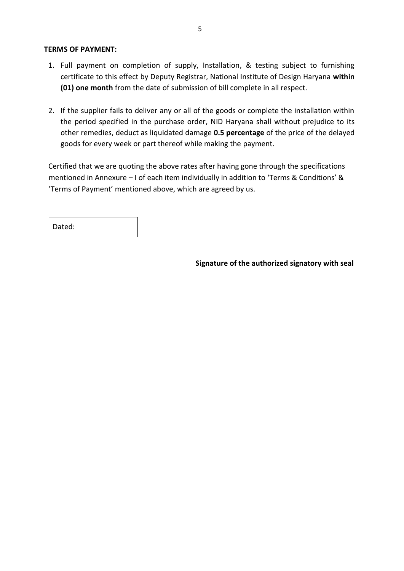#### **TERMS OF PAYMENT:**

- 1. Full payment on completion of supply, Installation, & testing subject to furnishing certificate to this effect by Deputy Registrar, National Institute of Design Haryana **within (01) one month** from the date of submission of bill complete in all respect.
- 2. If the supplier fails to deliver any or all of the goods or complete the installation within the period specified in the purchase order, NID Haryana shall without prejudice to its other remedies, deduct as liquidated damage **0.5 percentage** of the price of the delayed goods for every week or part thereof while making the payment.

Certified that we are quoting the above rates after having gone through the specifications mentioned in Annexure – I of each item individually in addition to 'Terms & Conditions' & 'Terms of Payment' mentioned above, which are agreed by us.

Dated:

**Signature of the authorized signatory with seal**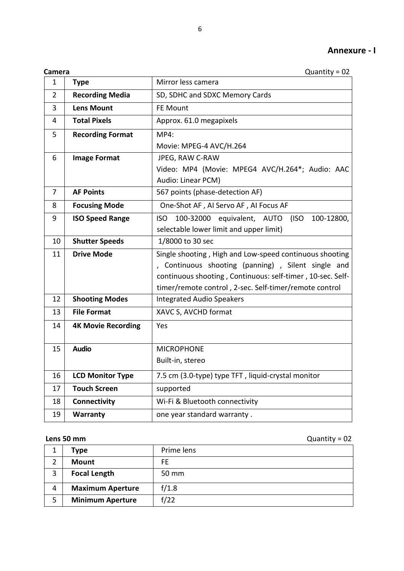|--|

| Camera | Quantity = $02$ |
|--------|-----------------|
|--------|-----------------|

| $\mathbf{1}$   | <b>Type</b>               | Mirror less camera                                                |
|----------------|---------------------------|-------------------------------------------------------------------|
| 2              | <b>Recording Media</b>    | SD, SDHC and SDXC Memory Cards                                    |
| 3              | <b>Lens Mount</b>         | <b>FE Mount</b>                                                   |
| 4              | <b>Total Pixels</b>       | Approx. 61.0 megapixels                                           |
| 5              | <b>Recording Format</b>   | MP4:                                                              |
|                |                           | Movie: MPEG-4 AVC/H.264                                           |
| 6              | <b>Image Format</b>       | JPEG, RAW C-RAW                                                   |
|                |                           | Video: MP4 (Movie: MPEG4 AVC/H.264*; Audio: AAC                   |
|                |                           | Audio: Linear PCM)                                                |
| $\overline{7}$ | <b>AF Points</b>          | 567 points (phase-detection AF)                                   |
| 8              | <b>Focusing Mode</b>      | One-Shot AF, AI Servo AF, AI Focus AF                             |
| 9              | <b>ISO Speed Range</b>    | 100-32000<br>100-12800,<br><b>ISO</b><br>equivalent, AUTO<br>(ISO |
|                |                           | selectable lower limit and upper limit)                           |
| 10             | <b>Shutter Speeds</b>     | 1/8000 to 30 sec                                                  |
| 11             | <b>Drive Mode</b>         | Single shooting, High and Low-speed continuous shooting           |
|                |                           | Continuous shooting (panning), Silent single and                  |
|                |                           | continuous shooting, Continuous: self-timer, 10-sec. Self-        |
|                |                           | timer/remote control, 2-sec. Self-timer/remote control            |
| 12             | <b>Shooting Modes</b>     | <b>Integrated Audio Speakers</b>                                  |
| 13             | <b>File Format</b>        | XAVC S, AVCHD format                                              |
| 14             | <b>4K Movie Recording</b> | Yes                                                               |
|                |                           |                                                                   |
| 15             | <b>Audio</b>              | <b>MICROPHONE</b>                                                 |
|                |                           | Built-in, stereo                                                  |
| 16             | <b>LCD Monitor Type</b>   | 7.5 cm (3.0-type) type TFT, liquid-crystal monitor                |
| 17             | <b>Touch Screen</b>       | supported                                                         |
| 18             | Connectivity              | Wi-Fi & Bluetooth connectivity                                    |
| 19             | Warranty                  | one year standard warranty.                                       |

**Lens 50 mm Quantity = 02** 

|   | Type                    | Prime lens |
|---|-------------------------|------------|
| 2 | Mount                   | FE.        |
| 3 | <b>Focal Length</b>     | 50 mm      |
| 4 | <b>Maximum Aperture</b> | f/1.8      |
| 5 | <b>Minimum Aperture</b> | f/22       |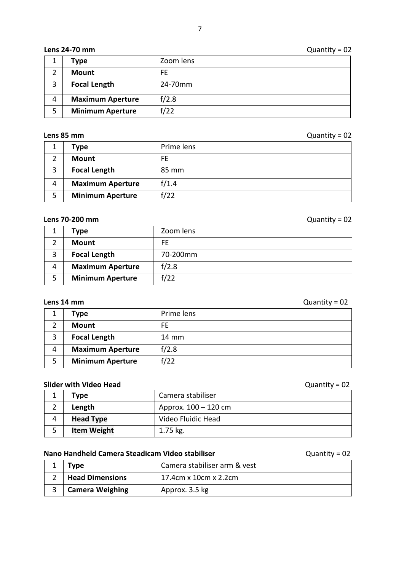#### **Lens 24-70 mm** Quantity = 02

|   | Type                    | Zoom lens |
|---|-------------------------|-----------|
|   | Mount                   | FE.       |
| 3 | <b>Focal Length</b>     | 24-70mm   |
| 4 | <b>Maximum Aperture</b> | f/2.8     |
| 5 | <b>Minimum Aperture</b> | f/22      |

**Lens 85 mm** Quantity = 02

|   | Type                    | Prime lens |
|---|-------------------------|------------|
|   | Mount                   | FE.        |
| 3 | <b>Focal Length</b>     | 85 mm      |
| 4 | <b>Maximum Aperture</b> | f/1.4      |
| 5 | <b>Minimum Aperture</b> | f/22       |

### **Lens 70-200 mm** Quantity = 02

|   | Type                    | Zoom lens |
|---|-------------------------|-----------|
|   | <b>Mount</b>            | FE.       |
| 3 | <b>Focal Length</b>     | 70-200mm  |
| 4 | <b>Maximum Aperture</b> | f/2.8     |
| 5 | <b>Minimum Aperture</b> | f/22      |

#### **Lens 14 mm** Quantity = 02

|   | Type                    | Prime lens |
|---|-------------------------|------------|
| ⌒ | Mount                   | FE.        |
| 3 | <b>Focal Length</b>     | 14 mm      |
| 4 | <b>Maximum Aperture</b> | f/2.8      |
| 5 | <b>Minimum Aperture</b> | f/22       |

### **Slider with Video Head Slider with Video Head C**

|   | Type               | Camera stabiliser      |
|---|--------------------|------------------------|
|   | Length             | Approx. $100 - 120$ cm |
| 4 | <b>Head Type</b>   | Video Fluidic Head     |
|   | <b>Item Weight</b> | $1.75$ kg.             |

#### **Nano Handheld Camera Steadicam Video stabiliser**  Quantity = 02

| Type                   | Camera stabiliser arm & vest |
|------------------------|------------------------------|
| <b>Head Dimensions</b> | 17.4cm x 10cm x 2.2cm        |
| <b>Camera Weighing</b> | Approx. 3.5 kg               |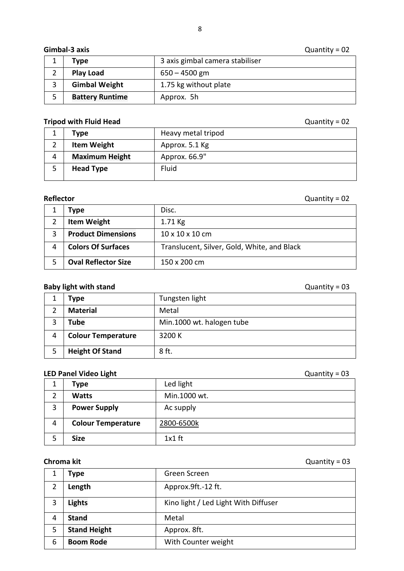#### **Gimbal-3 axis Quantity = 02**

| Type                   | 3 axis gimbal camera stabiliser |
|------------------------|---------------------------------|
| <b>Play Load</b>       | $650 - 4500$ gm                 |
| <b>Gimbal Weight</b>   | 1.75 kg without plate           |
| <b>Battery Runtime</b> | Approx. 5h                      |

#### **Tripod with Fluid Head CONSERVING TRIPOD CONSERVING TRIPOD CONSERVING TRIPOD Quantity = 02**

## **Type Heavy metal tripod Item Weight** Approx. 5.1 Kg **Maximum Height** Approx. 66.9" **Head Type** Fluid

#### **Reflector Quantity = 02**

|   | Type                       | Disc.                                       |
|---|----------------------------|---------------------------------------------|
|   | <b>Item Weight</b>         | $1.71$ Kg                                   |
| 3 | <b>Product Dimensions</b>  | $10 \times 10 \times 10$ cm                 |
| 4 | <b>Colors Of Surfaces</b>  | Translucent, Silver, Gold, White, and Black |
|   | <b>Oval Reflector Size</b> | 150 x 200 cm                                |

#### **Baby light with stand Department of the Contract of Contract Contract Contract Contract Contract Contract Contract Contract Contract Contract Contract Contract Contract Contract Contract Contract Contract Contract Contr**

|   | Type                      | Tungsten light            |
|---|---------------------------|---------------------------|
|   | <b>Material</b>           | Metal                     |
|   | Tube                      | Min.1000 wt. halogen tube |
| 4 | <b>Colour Temperature</b> | 3200 K                    |
|   | <b>Height Of Stand</b>    | 8 ft.                     |

#### **LED Panel Video Light LED Panel Video Light Quantity = 03**

|   |                           |              | $\tilde{}$ |
|---|---------------------------|--------------|------------|
| T | <b>Type</b>               | Led light    |            |
| 2 | <b>Watts</b>              | Min.1000 wt. |            |
| 3 | <b>Power Supply</b>       | Ac supply    |            |
| 4 | <b>Colour Temperature</b> | 2800-6500k   |            |
| 5 | <b>Size</b>               | $1x1$ ft     |            |

**Chroma kit Chroma kit Quantity = 03** 

|   | Type                | Green Screen                         |
|---|---------------------|--------------------------------------|
| 2 | Length              | Approx.9ft.-12 ft.                   |
|   | <b>Lights</b>       | Kino light / Led Light With Diffuser |
| 4 | <b>Stand</b>        | Metal                                |
| 5 | <b>Stand Height</b> | Approx. 8ft.                         |
| 6 | <b>Boom Rode</b>    | With Counter weight                  |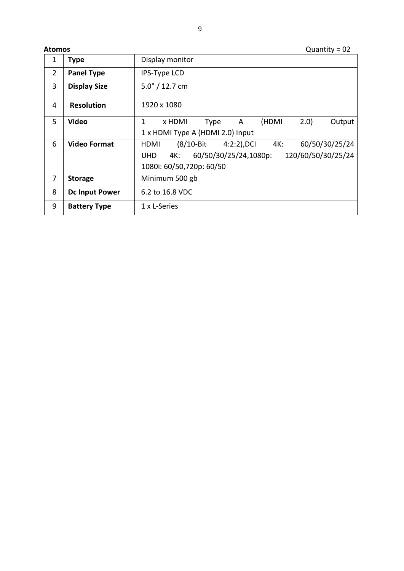**Atomos** Quantity = 02

| 1              | <b>Type</b>           | Display monitor                                                  |  |  |
|----------------|-----------------------|------------------------------------------------------------------|--|--|
| $\overline{2}$ | <b>Panel Type</b>     | IPS-Type LCD                                                     |  |  |
| 3              | <b>Display Size</b>   | $5.0'' / 12.7$ cm                                                |  |  |
| 4              | <b>Resolution</b>     | 1920 x 1080                                                      |  |  |
| 5              | Video                 | (HDMI<br>2.0<br>1<br>x HDMI<br><b>A</b><br>Output<br>Type        |  |  |
|                |                       | 1 x HDMI Type A (HDMI 2.0) Input                                 |  |  |
| 6              | <b>Video Format</b>   | 60/50/30/25/24<br>$(8/10 - Bit)$<br>$4:2:2$ ), DCI 4K:<br>HDMI   |  |  |
|                |                       | 120/60/50/30/25/24<br>60/50/30/25/24,1080p:<br>4K:<br><b>UHD</b> |  |  |
|                |                       | 1080i: 60/50,720p: 60/50                                         |  |  |
| 7              | <b>Storage</b>        | Minimum 500 gb                                                   |  |  |
| 8              | <b>Dc Input Power</b> | 6.2 to 16.8 VDC                                                  |  |  |
| 9              | <b>Battery Type</b>   | 1 x L-Series                                                     |  |  |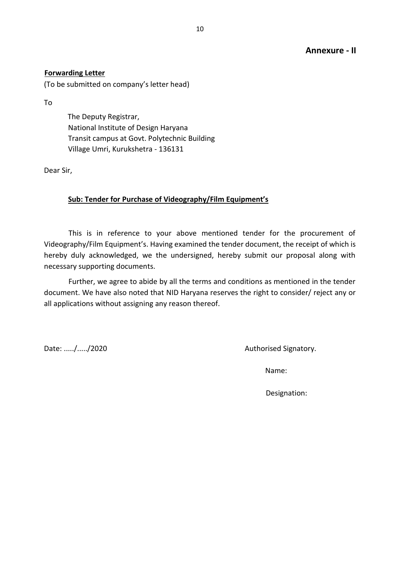#### **Forwarding Letter**

(To be submitted on company's letter head)

To

The Deputy Registrar, National Institute of Design Haryana Transit campus at Govt. Polytechnic Building Village Umri, Kurukshetra - 136131

Dear Sir,

#### **Sub: Tender for Purchase of Videography/Film Equipment's**

This is in reference to your above mentioned tender for the procurement of Videography/Film Equipment's. Having examined the tender document, the receipt of which is hereby duly acknowledged, we the undersigned, hereby submit our proposal along with necessary supporting documents.

Further, we agree to abide by all the terms and conditions as mentioned in the tender document. We have also noted that NID Haryana reserves the right to consider/ reject any or all applications without assigning any reason thereof.

Date: ...../...../2020 **Date:** 2020

Name:

Designation: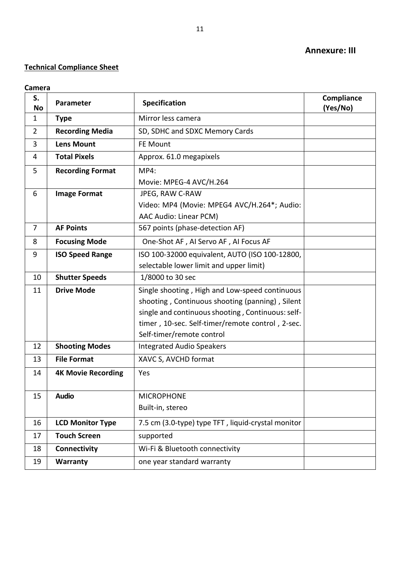#### **Annexure: III**

### **Technical Compliance Sheet**

**Camera** 

| S.<br>No       | Parameter                 | Specification                                      | Compliance<br>(Yes/No) |
|----------------|---------------------------|----------------------------------------------------|------------------------|
| $\mathbf{1}$   | <b>Type</b>               | Mirror less camera                                 |                        |
| $\overline{2}$ | <b>Recording Media</b>    | SD, SDHC and SDXC Memory Cards                     |                        |
| 3              | <b>Lens Mount</b>         | FE Mount                                           |                        |
| 4              | <b>Total Pixels</b>       | Approx. 61.0 megapixels                            |                        |
| 5              | <b>Recording Format</b>   | <b>MP4:</b>                                        |                        |
|                |                           | Movie: MPEG-4 AVC/H.264                            |                        |
| 6              | <b>Image Format</b>       | JPEG, RAW C-RAW                                    |                        |
|                |                           | Video: MP4 (Movie: MPEG4 AVC/H.264*; Audio:        |                        |
|                |                           | AAC Audio: Linear PCM)                             |                        |
| $\overline{7}$ | <b>AF Points</b>          | 567 points (phase-detection AF)                    |                        |
| 8              | <b>Focusing Mode</b>      | One-Shot AF, AI Servo AF, AI Focus AF              |                        |
| 9              | <b>ISO Speed Range</b>    | ISO 100-32000 equivalent, AUTO (ISO 100-12800,     |                        |
|                |                           | selectable lower limit and upper limit)            |                        |
| 10             | <b>Shutter Speeds</b>     | 1/8000 to 30 sec                                   |                        |
| 11             | <b>Drive Mode</b>         | Single shooting, High and Low-speed continuous     |                        |
|                |                           | shooting, Continuous shooting (panning), Silent    |                        |
|                |                           | single and continuous shooting, Continuous: self-  |                        |
|                |                           | timer, 10-sec. Self-timer/remote control, 2-sec.   |                        |
|                |                           | Self-timer/remote control                          |                        |
| 12             | <b>Shooting Modes</b>     | <b>Integrated Audio Speakers</b>                   |                        |
| 13             | <b>File Format</b>        | XAVC S, AVCHD format                               |                        |
| 14             | <b>4K Movie Recording</b> | Yes                                                |                        |
|                |                           |                                                    |                        |
| 15             | <b>Audio</b>              | <b>MICROPHONE</b>                                  |                        |
|                |                           | Built-in, stereo                                   |                        |
| 16             | <b>LCD Monitor Type</b>   | 7.5 cm (3.0-type) type TFT, liquid-crystal monitor |                        |
| 17             | <b>Touch Screen</b>       | supported                                          |                        |
| 18             | Connectivity              | Wi-Fi & Bluetooth connectivity                     |                        |
| 19             | Warranty                  | one year standard warranty                         |                        |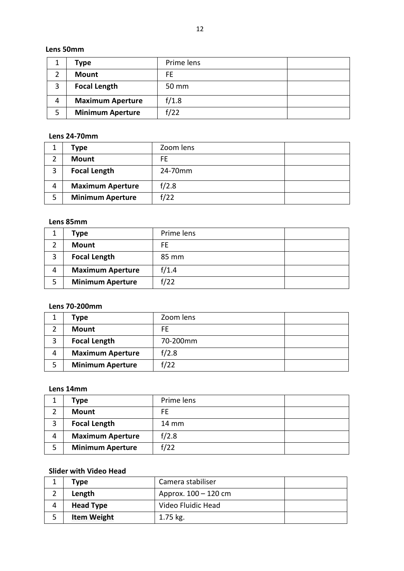#### **Lens 50mm**

|   | Type                    | Prime lens |  |
|---|-------------------------|------------|--|
|   | <b>Mount</b>            | FE.        |  |
| ာ | <b>Focal Length</b>     | 50 mm      |  |
| 4 | <b>Maximum Aperture</b> | f/1.8      |  |
| 5 | <b>Minimum Aperture</b> | f/22       |  |

#### **Lens 24-70mm**

|   | Type                    | Zoom lens |  |
|---|-------------------------|-----------|--|
| າ | <b>Mount</b>            | FF.       |  |
| 3 | <b>Focal Length</b>     | 24-70mm   |  |
| 4 | <b>Maximum Aperture</b> | f/2.8     |  |
| 5 | <b>Minimum Aperture</b> | f/22      |  |

#### **Lens 85mm**

|   | Type                    | Prime lens |  |
|---|-------------------------|------------|--|
|   | Mount                   | FE         |  |
| 3 | <b>Focal Length</b>     | 85 mm      |  |
| 4 | <b>Maximum Aperture</b> | f/1.4      |  |
| 5 | <b>Minimum Aperture</b> | f/22       |  |

#### **Lens 70-200mm**

|        | Type                    | Zoom lens |  |
|--------|-------------------------|-----------|--|
|        | Mount                   | FE.       |  |
| ີ<br>э | <b>Focal Length</b>     | 70-200mm  |  |
| 4      | <b>Maximum Aperture</b> | f/2.8     |  |
| 5      | <b>Minimum Aperture</b> | f/22      |  |

### **Lens 14mm**

|   | Type                    | Prime lens      |  |
|---|-------------------------|-----------------|--|
|   | <b>Mount</b>            | FE.             |  |
| 3 | <b>Focal Length</b>     | $14 \text{ mm}$ |  |
| 4 | <b>Maximum Aperture</b> | f/2.8           |  |
| 5 | <b>Minimum Aperture</b> | f/22            |  |

#### **Slider with Video Head**

|   | Type               | Camera stabiliser      |  |
|---|--------------------|------------------------|--|
|   | Length             | Approx. $100 - 120$ cm |  |
| 4 | <b>Head Type</b>   | Video Fluidic Head     |  |
| 5 | <b>Item Weight</b> | $1.75$ kg.             |  |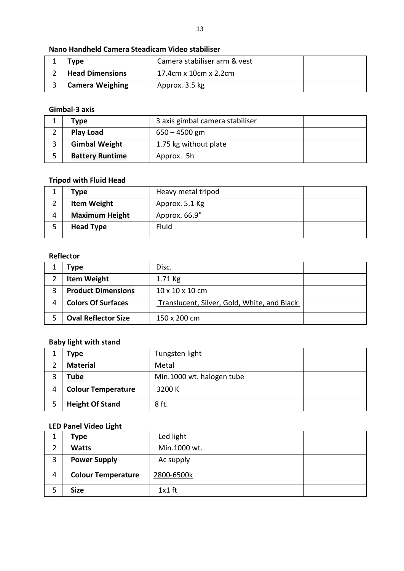| Type : |                        | Camera stabiliser arm & vest |  |
|--------|------------------------|------------------------------|--|
|        | <b>Head Dimensions</b> | 17.4cm x 10cm x 2.2cm        |  |
|        | <b>Camera Weighing</b> | Approx. 3.5 kg               |  |

#### **Gimbal-3 axis**

| Type                   |                       |  |
|------------------------|-----------------------|--|
| <b>Play Load</b>       | $650 - 4500$ gm       |  |
| <b>Gimbal Weight</b>   | 1.75 kg without plate |  |
| <b>Battery Runtime</b> | Approx. 5h            |  |

### **Tripod with Fluid Head**

|   | Type                  | Heavy metal tripod |  |
|---|-----------------------|--------------------|--|
| ∠ | <b>Item Weight</b>    | Approx. 5.1 Kg     |  |
| 4 | <b>Maximum Height</b> | Approx. 66.9"      |  |
|   | <b>Head Type</b>      | Fluid              |  |
|   |                       |                    |  |

#### **Reflector**

| Tvpe                       | Disc.                                       |  |
|----------------------------|---------------------------------------------|--|
| <b>Item Weight</b>         | $1.71$ Kg                                   |  |
| <b>Product Dimensions</b>  | $10 \times 10 \times 10$ cm                 |  |
| <b>Colors Of Surfaces</b>  | Translucent, Silver, Gold, White, and Black |  |
| <b>Oval Reflector Size</b> | 150 x 200 cm                                |  |

### **Baby light with stand**

| Type                      | Tungsten light            |  |
|---------------------------|---------------------------|--|
| <b>Material</b>           | Metal                     |  |
| Tube                      | Min.1000 wt. halogen tube |  |
| <b>Colour Temperature</b> | 3200 K                    |  |
| <b>Height Of Stand</b>    | 8 ft.                     |  |

#### **LED Panel Video Light**

|   | Type                      | Led light    |  |
|---|---------------------------|--------------|--|
|   | <b>Watts</b>              | Min.1000 wt. |  |
| 3 | <b>Power Supply</b>       | Ac supply    |  |
| 4 | <b>Colour Temperature</b> | 2800-6500k   |  |
|   | <b>Size</b>               | $1x1$ ft     |  |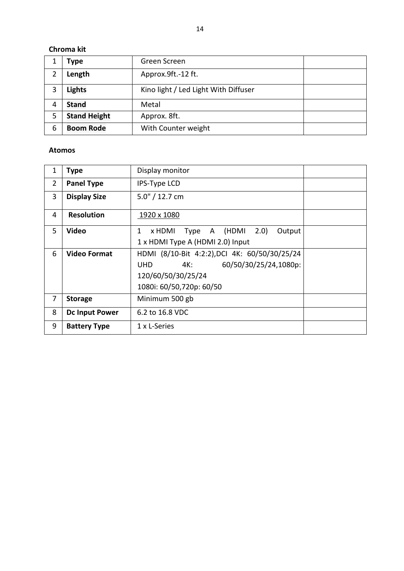### **Chroma kit**

|   | Type                | Green Screen                         |  |
|---|---------------------|--------------------------------------|--|
|   | Length              | Approx.9ft.-12 ft.                   |  |
| 3 | <b>Lights</b>       | Kino light / Led Light With Diffuser |  |
| 4 | <b>Stand</b>        | Metal                                |  |
| 5 | <b>Stand Height</b> | Approx. 8ft.                         |  |
| 6 | <b>Boom Rode</b>    | With Counter weight                  |  |

#### **Atomos**

| 1              | <b>Type</b>           | Display monitor                                                                                                                        |  |
|----------------|-----------------------|----------------------------------------------------------------------------------------------------------------------------------------|--|
| $\overline{2}$ | <b>Panel Type</b>     | <b>IPS-Type LCD</b>                                                                                                                    |  |
| 3              | <b>Display Size</b>   | $5.0'' / 12.7$ cm                                                                                                                      |  |
| 4              | <b>Resolution</b>     | 1920 x 1080                                                                                                                            |  |
| 5              | <b>Video</b>          | Type A (HDMI<br>2.0)<br>Output<br>1<br>x HDMI                                                                                          |  |
|                |                       | 1 x HDMI Type A (HDMI 2.0) Input                                                                                                       |  |
| 6              | <b>Video Format</b>   | HDMI (8/10-Bit 4:2:2), DCI 4K: 60/50/30/25/24<br>60/50/30/25/24,1080p:<br><b>UHD</b><br>120/60/50/30/25/24<br>1080i: 60/50,720p: 60/50 |  |
| 7              | <b>Storage</b>        | Minimum 500 gb                                                                                                                         |  |
| 8              | <b>Dc Input Power</b> | 6.2 to 16.8 VDC                                                                                                                        |  |
| 9              | <b>Battery Type</b>   | 1 x L-Series                                                                                                                           |  |